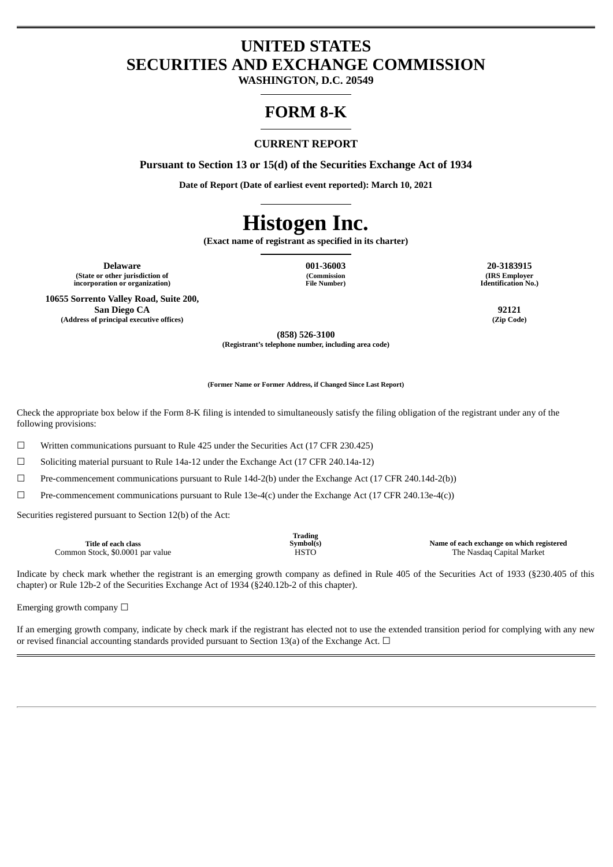## **UNITED STATES SECURITIES AND EXCHANGE COMMISSION**

**WASHINGTON, D.C. 20549**

## **FORM 8-K**

#### **CURRENT REPORT**

**Pursuant to Section 13 or 15(d) of the Securities Exchange Act of 1934**

**Date of Report (Date of earliest event reported): March 10, 2021**

# **Histogen Inc.**

**(Exact name of registrant as specified in its charter)**

**Delaware 001-36003 20-3183915 (State or other jurisdiction of incorporation or organization)**

**(Commission File Number)**

**(IRS Employer Identification No.)**

**10655 Sorrento Valley Road, Suite 200, San Diego CA 92121 (Address of principal executive offices) (Zip Code)**

**(858) 526-3100 (Registrant's telephone number, including area code)**

**(Former Name or Former Address, if Changed Since Last Report)**

Check the appropriate box below if the Form 8-K filing is intended to simultaneously satisfy the filing obligation of the registrant under any of the following provisions:

☐ Written communications pursuant to Rule 425 under the Securities Act (17 CFR 230.425)

 $\Box$  Soliciting material pursuant to Rule 14a-12 under the Exchange Act (17 CFR 240.14a-12)

☐ Pre-commencement communications pursuant to Rule 14d-2(b) under the Exchange Act (17 CFR 240.14d-2(b))

☐ Pre-commencement communications pursuant to Rule 13e-4(c) under the Exchange Act (17 CFR 240.13e-4(c))

Securities registered pursuant to Section 12(b) of the Act:

| Trading<br>Symbol(s)<br>Title of each class<br>Common Stock, \$0.0001 par value<br><b>HSTO</b> | Name of each exchange on which registered<br>The Nasdag Capital Market |
|------------------------------------------------------------------------------------------------|------------------------------------------------------------------------|
|------------------------------------------------------------------------------------------------|------------------------------------------------------------------------|

Indicate by check mark whether the registrant is an emerging growth company as defined in Rule 405 of the Securities Act of 1933 (§230.405 of this chapter) or Rule 12b-2 of the Securities Exchange Act of 1934 (§240.12b-2 of this chapter).

Emerging growth company  $\Box$ 

If an emerging growth company, indicate by check mark if the registrant has elected not to use the extended transition period for complying with any new or revised financial accounting standards provided pursuant to Section 13(a) of the Exchange Act.  $\Box$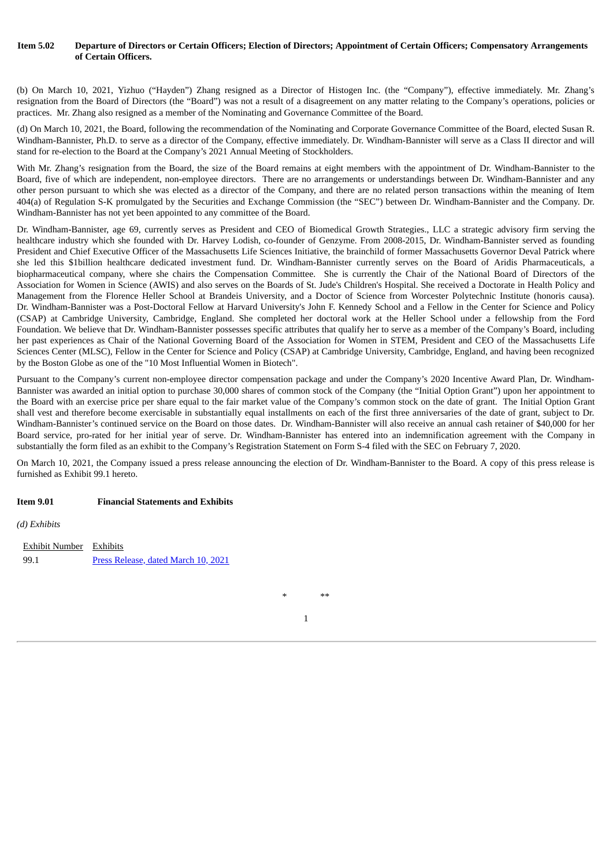#### Item 5.02 Departure of Directors or Certain Officers; Election of Directors; Appointment of Certain Officers; Compensatory Arrangements **of Certain Officers.**

(b) On March 10, 2021, Yizhuo ("Hayden") Zhang resigned as a Director of Histogen Inc. (the "Company"), effective immediately. Mr. Zhang's resignation from the Board of Directors (the "Board") was not a result of a disagreement on any matter relating to the Company's operations, policies or practices. Mr. Zhang also resigned as a member of the Nominating and Governance Committee of the Board.

(d) On March 10, 2021, the Board, following the recommendation of the Nominating and Corporate Governance Committee of the Board, elected Susan R. Windham-Bannister, Ph.D. to serve as a director of the Company, effective immediately. Dr. Windham-Bannister will serve as a Class II director and will stand for re-election to the Board at the Company's 2021 Annual Meeting of Stockholders.

With Mr. Zhang's resignation from the Board, the size of the Board remains at eight members with the appointment of Dr. Windham-Bannister to the Board, five of which are independent, non-employee directors. There are no arrangements or understandings between Dr. Windham-Bannister and any other person pursuant to which she was elected as a director of the Company, and there are no related person transactions within the meaning of Item 404(a) of Regulation S-K promulgated by the Securities and Exchange Commission (the "SEC") between Dr. Windham-Bannister and the Company. Dr. Windham-Bannister has not yet been appointed to any committee of the Board.

Dr. Windham-Bannister, age 69, currently serves as President and CEO of Biomedical Growth Strategies., LLC a strategic advisory firm serving the healthcare industry which she founded with Dr. Harvey Lodish, co-founder of Genzyme. From 2008-2015, Dr. Windham-Bannister served as founding President and Chief Executive Officer of the Massachusetts Life Sciences Initiative, the brainchild of former Massachusetts Governor Deval Patrick where she led this \$1billion healthcare dedicated investment fund. Dr. Windham-Bannister currently serves on the Board of Aridis Pharmaceuticals, a biopharmaceutical company, where she chairs the Compensation Committee. She is currently the Chair of the National Board of Directors of the Association for Women in Science (AWIS) and also serves on the Boards of St. Jude's Children's Hospital. She received a Doctorate in Health Policy and Management from the Florence Heller School at Brandeis University, and a Doctor of Science from Worcester Polytechnic Institute (honoris causa). Dr. Windham-Bannister was a Post-Doctoral Fellow at Harvard University's John F. Kennedy School and a Fellow in the Center for Science and Policy (CSAP) at Cambridge University, Cambridge, England. She completed her doctoral work at the Heller School under a fellowship from the Ford Foundation. We believe that Dr. Windham-Bannister possesses specific attributes that qualify her to serve as a member of the Company's Board, including her past experiences as Chair of the National Governing Board of the Association for Women in STEM, President and CEO of the Massachusetts Life Sciences Center (MLSC), Fellow in the Center for Science and Policy (CSAP) at Cambridge University, Cambridge, England, and having been recognized by the Boston Globe as one of the "10 Most Influential Women in Biotech".

Pursuant to the Company's current non-employee director compensation package and under the Company's 2020 Incentive Award Plan, Dr. Windham-Bannister was awarded an initial option to purchase 30,000 shares of common stock of the Company (the "Initial Option Grant") upon her appointment to the Board with an exercise price per share equal to the fair market value of the Company's common stock on the date of grant. The Initial Option Grant shall vest and therefore become exercisable in substantially equal installments on each of the first three anniversaries of the date of grant, subject to Dr. Windham-Bannister's continued service on the Board on those dates. Dr. Windham-Bannister will also receive an annual cash retainer of \$40,000 for her Board service, pro-rated for her initial year of serve. Dr. Windham-Bannister has entered into an indemnification agreement with the Company in substantially the form filed as an exhibit to the Company's Registration Statement on Form S-4 filed with the SEC on February 7, 2020.

On March 10, 2021, the Company issued a press release announcing the election of Dr. Windham-Bannister to the Board. A copy of this press release is furnished as Exhibit 99.1 hereto.

#### **Item 9.01 Financial Statements and Exhibits**

*(d) Exhibits*

Exhibit Number Exhibits 99.1 Press [Release,](#page-3-0) dated March 10, 2021

\* \*\*

1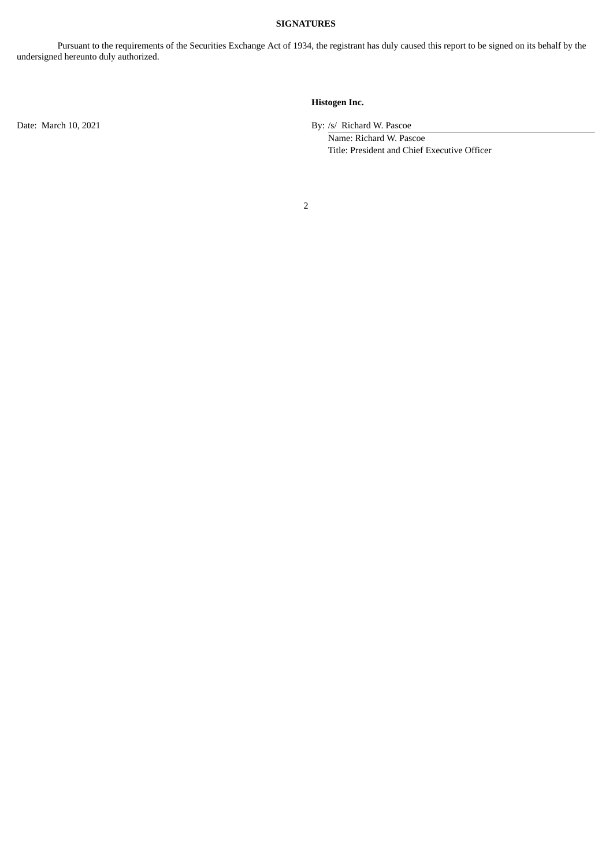#### **SIGNATURES**

Pursuant to the requirements of the Securities Exchange Act of 1934, the registrant has duly caused this report to be signed on its behalf by the undersigned hereunto duly authorized.

#### **Histogen Inc.**

Date: March 10, 2021 By: /s/ Richard W. Pascoe

Name: Richard W. Pascoe Title: President and Chief Executive Officer

2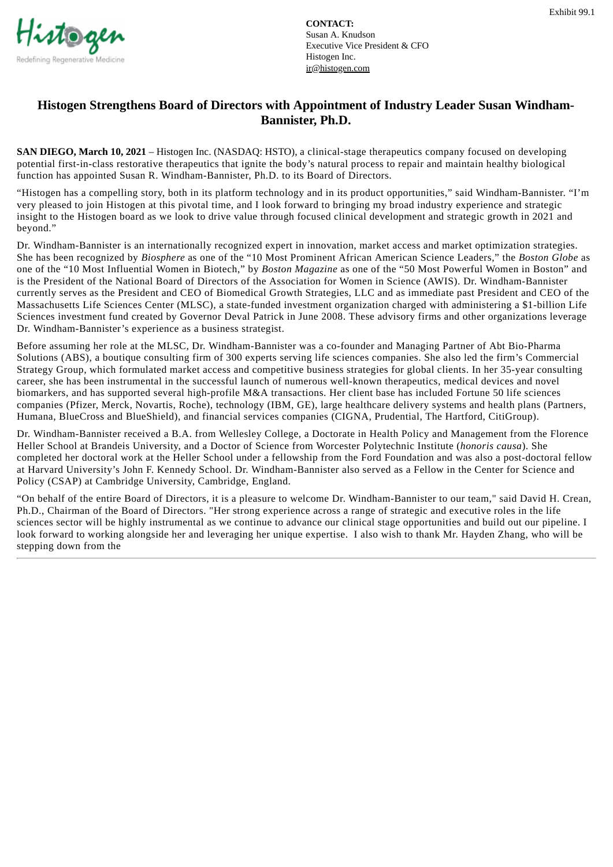<span id="page-3-0"></span>

**CONTACT:** Susan A. Knudson Executive Vice President & CFO Histogen Inc. ir@histogen.com

### **Histogen Strengthens Board of Directors with Appointment of Industry Leader Susan Windham-Bannister, Ph.D.**

**SAN DIEGO, March 10, 2021** – Histogen Inc. (NASDAQ: HSTO), a clinical-stage therapeutics company focused on developing potential first-in-class restorative therapeutics that ignite the body's natural process to repair and maintain healthy biological function has appointed Susan R. Windham-Bannister, Ph.D. to its Board of Directors.

"Histogen has a compelling story, both in its platform technology and in its product opportunities," said Windham-Bannister. "I'm very pleased to join Histogen at this pivotal time, and I look forward to bringing my broad industry experience and strategic insight to the Histogen board as we look to drive value through focused clinical development and strategic growth in 2021 and beyond."

Dr. Windham-Bannister is an internationally recognized expert in innovation, market access and market optimization strategies. She has been recognized by *Biosphere* as one of the "10 Most Prominent African American Science Leaders," the *Boston Globe* as one of the "10 Most Influential Women in Biotech," by *Boston Magazine* as one of the "50 Most Powerful Women in Boston" and is the President of the National Board of Directors of the Association for Women in Science (AWIS). Dr. Windham-Bannister currently serves as the President and CEO of Biomedical Growth Strategies, LLC and as immediate past President and CEO of the Massachusetts Life Sciences Center (MLSC), a state-funded investment organization charged with administering a \$1-billion Life Sciences investment fund created by Governor Deval Patrick in June 2008. These advisory firms and other organizations leverage Dr. Windham-Bannister's experience as a business strategist.

Before assuming her role at the MLSC, Dr. Windham-Bannister was a co-founder and Managing Partner of Abt Bio-Pharma Solutions (ABS), a boutique consulting firm of 300 experts serving life sciences companies. She also led the firm's Commercial Strategy Group, which formulated market access and competitive business strategies for global clients. In her 35-year consulting career, she has been instrumental in the successful launch of numerous well-known therapeutics, medical devices and novel biomarkers, and has supported several high-profile M&A transactions. Her client base has included Fortune 50 life sciences companies (Pfizer, Merck, Novartis, Roche), technology (IBM, GE), large healthcare delivery systems and health plans (Partners, Humana, BlueCross and BlueShield), and financial services companies (CIGNA, Prudential, The Hartford, CitiGroup).

Dr. Windham-Bannister received a B.A. from Wellesley College, a Doctorate in Health Policy and Management from the Florence Heller School at Brandeis University, and a Doctor of Science from Worcester Polytechnic Institute (*honoris causa*). She completed her doctoral work at the Heller School under a fellowship from the Ford Foundation and was also a post-doctoral fellow at Harvard University's John F. Kennedy School. Dr. Windham-Bannister also served as a Fellow in the Center for Science and Policy (CSAP) at Cambridge University, Cambridge, England.

"On behalf of the entire Board of Directors, it is a pleasure to welcome Dr. Windham-Bannister to our team," said David H. Crean, Ph.D., Chairman of the Board of Directors. "Her strong experience across a range of strategic and executive roles in the life sciences sector will be highly instrumental as we continue to advance our clinical stage opportunities and build out our pipeline. I look forward to working alongside her and leveraging her unique expertise. I also wish to thank Mr. Hayden Zhang, who will be stepping down from the